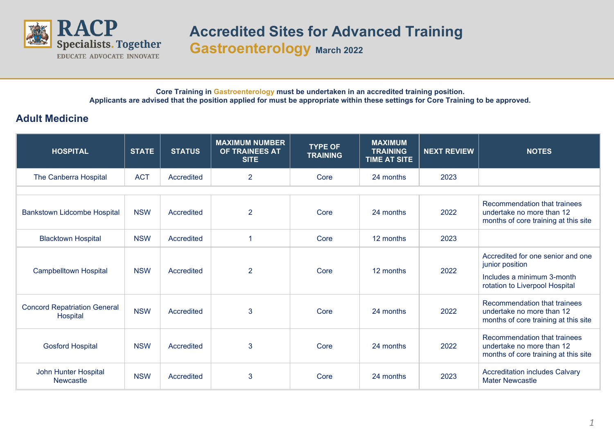

## **Accredited Sites for Advanced Training Gastroenterology March 2022**

**Core Training in Gastroenterology must be undertaken in an accredited training position. Applicants are advised that the position applied for must be appropriate within these settings for Core Training to be approved.**

## **Adult Medicine**

| <b>HOSPITAL</b>                                 | <b>STATE</b> | <b>STATUS</b> | <b>MAXIMUM NUMBER</b><br>OF TRAINEES AT<br><b>SITE</b> | <b>TYPE OF</b><br><b>TRAINING</b> | <b>MAXIMUM</b><br><b>TRAINING</b><br><b>TIME AT SITE</b> | <b>NEXT REVIEW</b> | <b>NOTES</b>                                                                                                         |
|-------------------------------------------------|--------------|---------------|--------------------------------------------------------|-----------------------------------|----------------------------------------------------------|--------------------|----------------------------------------------------------------------------------------------------------------------|
| The Canberra Hospital                           | <b>ACT</b>   | Accredited    | $\overline{2}$                                         | Core                              | 24 months                                                | 2023               |                                                                                                                      |
|                                                 |              |               |                                                        |                                   |                                                          |                    |                                                                                                                      |
| <b>Bankstown Lidcombe Hospital</b>              | <b>NSW</b>   | Accredited    | $\overline{2}$                                         | Core                              | 24 months                                                | 2022               | Recommendation that trainees<br>undertake no more than 12<br>months of core training at this site                    |
| <b>Blacktown Hospital</b>                       | <b>NSW</b>   | Accredited    |                                                        | Core                              | 12 months                                                | 2023               |                                                                                                                      |
| <b>Campbelltown Hospital</b>                    | <b>NSW</b>   | Accredited    | $\overline{2}$                                         | Core                              | 12 months                                                | 2022               | Accredited for one senior and one<br>junior position<br>Includes a minimum 3-month<br>rotation to Liverpool Hospital |
| <b>Concord Repatriation General</b><br>Hospital | <b>NSW</b>   | Accredited    | 3                                                      | Core                              | 24 months                                                | 2022               | Recommendation that trainees<br>undertake no more than 12<br>months of core training at this site                    |
| <b>Gosford Hospital</b>                         | <b>NSW</b>   | Accredited    | 3                                                      | Core                              | 24 months                                                | 2022               | Recommendation that trainees<br>undertake no more than 12<br>months of core training at this site                    |
| John Hunter Hospital<br><b>Newcastle</b>        | <b>NSW</b>   | Accredited    | 3                                                      | Core                              | 24 months                                                | 2023               | <b>Accreditation includes Calvary</b><br><b>Mater Newcastle</b>                                                      |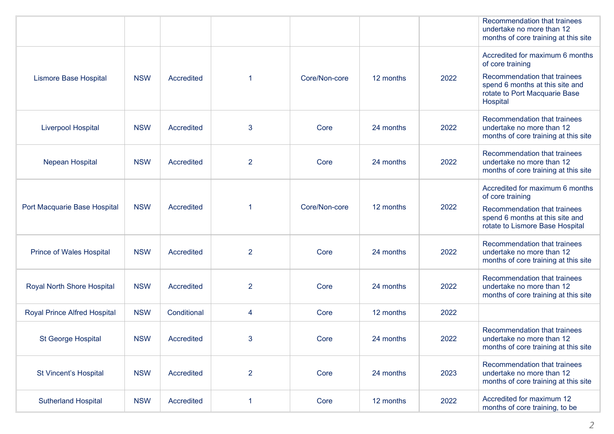|                                     |            |                   |                |               |           |      | Recommendation that trainees<br>undertake no more than 12<br>months of core training at this site                      |
|-------------------------------------|------------|-------------------|----------------|---------------|-----------|------|------------------------------------------------------------------------------------------------------------------------|
| <b>Lismore Base Hospital</b>        | <b>NSW</b> | <b>Accredited</b> | 1              | Core/Non-core | 12 months | 2022 | Accredited for maximum 6 months<br>of core training<br>Recommendation that trainees<br>spend 6 months at this site and |
|                                     |            |                   |                |               |           |      | rotate to Port Macquarie Base<br>Hospital                                                                              |
| <b>Liverpool Hospital</b>           | <b>NSW</b> | Accredited        | 3              | Core          | 24 months | 2022 | Recommendation that trainees<br>undertake no more than 12<br>months of core training at this site                      |
| <b>Nepean Hospital</b>              | <b>NSW</b> | <b>Accredited</b> | $\overline{2}$ | Core          | 24 months | 2022 | Recommendation that trainees<br>undertake no more than 12<br>months of core training at this site                      |
|                                     |            |                   |                |               |           |      | Accredited for maximum 6 months<br>of core training                                                                    |
| Port Macquarie Base Hospital        | <b>NSW</b> | Accredited        | 1              | Core/Non-core | 12 months | 2022 | Recommendation that trainees<br>spend 6 months at this site and<br>rotate to Lismore Base Hospital                     |
| <b>Prince of Wales Hospital</b>     | <b>NSW</b> | Accredited        | $\overline{2}$ | Core          | 24 months | 2022 | Recommendation that trainees<br>undertake no more than 12<br>months of core training at this site                      |
| Royal North Shore Hospital          | <b>NSW</b> | Accredited        | $\overline{2}$ | Core          | 24 months | 2022 | Recommendation that trainees<br>undertake no more than 12<br>months of core training at this site                      |
| <b>Royal Prince Alfred Hospital</b> | <b>NSW</b> | Conditional       | 4              | Core          | 12 months | 2022 |                                                                                                                        |
| <b>St George Hospital</b>           | <b>NSW</b> | <b>Accredited</b> | 3              | Core          | 24 months | 2022 | Recommendation that trainees<br>undertake no more than 12<br>months of core training at this site                      |
| St Vincent's Hospital               | <b>NSW</b> | Accredited        | $\overline{2}$ | Core          | 24 months | 2023 | Recommendation that trainees<br>undertake no more than 12<br>months of core training at this site                      |
| <b>Sutherland Hospital</b>          | <b>NSW</b> | Accredited        | 1              | Core          | 12 months | 2022 | Accredited for maximum 12<br>months of core training, to be                                                            |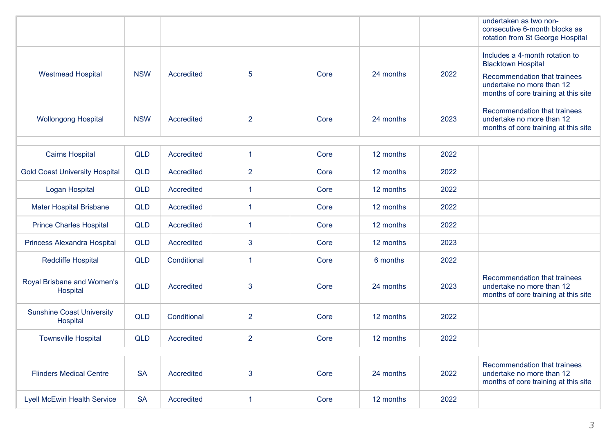|                                              |            |             |                |      |           |      | undertaken as two non-<br>consecutive 6-month blocks as<br>rotation from St George Hospital                                                                      |
|----------------------------------------------|------------|-------------|----------------|------|-----------|------|------------------------------------------------------------------------------------------------------------------------------------------------------------------|
| <b>Westmead Hospital</b>                     | <b>NSW</b> | Accredited  | 5              | Core | 24 months | 2022 | Includes a 4-month rotation to<br><b>Blacktown Hospital</b><br>Recommendation that trainees<br>undertake no more than 12<br>months of core training at this site |
| <b>Wollongong Hospital</b>                   | <b>NSW</b> | Accredited  | $\overline{2}$ | Core | 24 months | 2023 | Recommendation that trainees<br>undertake no more than 12<br>months of core training at this site                                                                |
|                                              |            |             |                |      |           |      |                                                                                                                                                                  |
| <b>Cairns Hospital</b>                       | <b>QLD</b> | Accredited  | $\mathbf{1}$   | Core | 12 months | 2022 |                                                                                                                                                                  |
| <b>Gold Coast University Hospital</b>        | <b>QLD</b> | Accredited  | $\overline{2}$ | Core | 12 months | 2022 |                                                                                                                                                                  |
| Logan Hospital                               | <b>QLD</b> | Accredited  | 1              | Core | 12 months | 2022 |                                                                                                                                                                  |
| <b>Mater Hospital Brisbane</b>               | <b>QLD</b> | Accredited  | 1              | Core | 12 months | 2022 |                                                                                                                                                                  |
| <b>Prince Charles Hospital</b>               | <b>QLD</b> | Accredited  | -1             | Core | 12 months | 2022 |                                                                                                                                                                  |
| Princess Alexandra Hospital                  | <b>QLD</b> | Accredited  | 3              | Core | 12 months | 2023 |                                                                                                                                                                  |
| Redcliffe Hospital                           | <b>QLD</b> | Conditional | $\mathbf{1}$   | Core | 6 months  | 2022 |                                                                                                                                                                  |
| Royal Brisbane and Women's<br>Hospital       | <b>QLD</b> | Accredited  | 3              | Core | 24 months | 2023 | Recommendation that trainees<br>undertake no more than 12<br>months of core training at this site                                                                |
| <b>Sunshine Coast University</b><br>Hospital | <b>QLD</b> | Conditional | $\overline{2}$ | Core | 12 months | 2022 |                                                                                                                                                                  |
| <b>Townsville Hospital</b>                   | <b>QLD</b> | Accredited  | $\overline{2}$ | Core | 12 months | 2022 |                                                                                                                                                                  |
|                                              |            |             |                |      |           |      |                                                                                                                                                                  |
| <b>Flinders Medical Centre</b>               | <b>SA</b>  | Accredited  | 3              | Core | 24 months | 2022 | Recommendation that trainees<br>undertake no more than 12<br>months of core training at this site                                                                |
| <b>Lyell McEwin Health Service</b>           | <b>SA</b>  | Accredited  | $\mathbf{1}$   | Core | 12 months | 2022 |                                                                                                                                                                  |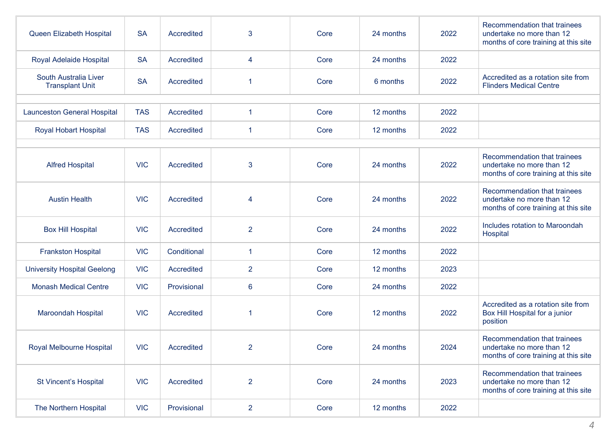| Queen Elizabeth Hospital                        | <b>SA</b>  | Accredited  | 3              | Core | 24 months | 2022 | Recommendation that trainees<br>undertake no more than 12<br>months of core training at this site |
|-------------------------------------------------|------------|-------------|----------------|------|-----------|------|---------------------------------------------------------------------------------------------------|
| Royal Adelaide Hospital                         | <b>SA</b>  | Accredited  | 4              | Core | 24 months | 2022 |                                                                                                   |
| South Australia Liver<br><b>Transplant Unit</b> | <b>SA</b>  | Accredited  |                | Core | 6 months  | 2022 | Accredited as a rotation site from<br><b>Flinders Medical Centre</b>                              |
|                                                 |            |             |                |      |           |      |                                                                                                   |
| <b>Launceston General Hospital</b>              | <b>TAS</b> | Accredited  | $\mathbf{1}$   | Core | 12 months | 2022 |                                                                                                   |
| <b>Royal Hobart Hospital</b>                    | <b>TAS</b> | Accredited  | 1              | Core | 12 months | 2022 |                                                                                                   |
|                                                 |            |             |                |      |           |      |                                                                                                   |
| <b>Alfred Hospital</b>                          | <b>VIC</b> | Accredited  | 3              | Core | 24 months | 2022 | Recommendation that trainees<br>undertake no more than 12<br>months of core training at this site |
| <b>Austin Health</b>                            | <b>VIC</b> | Accredited  | 4              | Core | 24 months | 2022 | Recommendation that trainees<br>undertake no more than 12<br>months of core training at this site |
| <b>Box Hill Hospital</b>                        | <b>VIC</b> | Accredited  | $\overline{2}$ | Core | 24 months | 2022 | Includes rotation to Maroondah<br>Hospital                                                        |
| <b>Frankston Hospital</b>                       | <b>VIC</b> | Conditional | $\mathbf{1}$   | Core | 12 months | 2022 |                                                                                                   |
| <b>University Hospital Geelong</b>              | <b>VIC</b> | Accredited  | $\overline{2}$ | Core | 12 months | 2023 |                                                                                                   |
| <b>Monash Medical Centre</b>                    | <b>VIC</b> | Provisional | $6\phantom{1}$ | Core | 24 months | 2022 |                                                                                                   |
| <b>Maroondah Hospital</b>                       | <b>VIC</b> | Accredited  |                | Core | 12 months | 2022 | Accredited as a rotation site from<br>Box Hill Hospital for a junior<br>position                  |
| Royal Melbourne Hospital                        | <b>VIC</b> | Accredited  | $\overline{2}$ | Core | 24 months | 2024 | Recommendation that trainees<br>undertake no more than 12<br>months of core training at this site |
| St Vincent's Hospital                           | <b>VIC</b> | Accredited  | $\overline{2}$ | Core | 24 months | 2023 | Recommendation that trainees<br>undertake no more than 12<br>months of core training at this site |
| The Northern Hospital                           | <b>VIC</b> | Provisional | $\overline{2}$ | Core | 12 months | 2022 |                                                                                                   |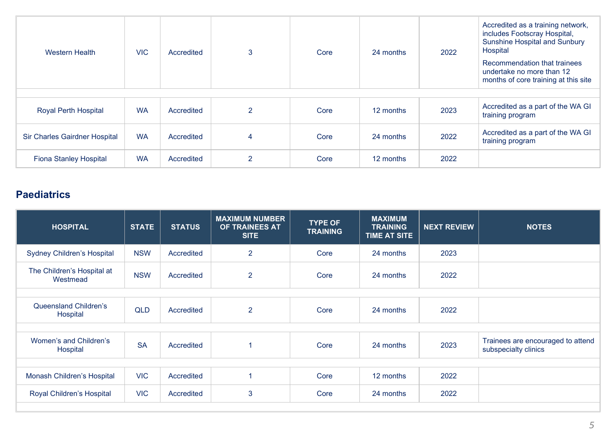| Western Health                | <b>VIC</b> | Accredited | 3              | Core | 24 months | 2022 | Accredited as a training network,<br>includes Footscray Hospital,<br><b>Sunshine Hospital and Sunbury</b><br>Hospital<br>Recommendation that trainees<br>undertake no more than 12<br>months of core training at this site |
|-------------------------------|------------|------------|----------------|------|-----------|------|----------------------------------------------------------------------------------------------------------------------------------------------------------------------------------------------------------------------------|
|                               |            |            |                |      |           |      |                                                                                                                                                                                                                            |
| <b>Royal Perth Hospital</b>   | <b>WA</b>  | Accredited | $\overline{2}$ | Core | 12 months | 2023 | Accredited as a part of the WA GI<br>training program                                                                                                                                                                      |
| Sir Charles Gairdner Hospital | <b>WA</b>  | Accredited | 4              | Core | 24 months | 2022 | Accredited as a part of the WA GI<br>training program                                                                                                                                                                      |
| <b>Fiona Stanley Hospital</b> | <b>WA</b>  | Accredited | $\overline{2}$ | Core | 12 months | 2022 |                                                                                                                                                                                                                            |

## **Paediatrics**

| <b>HOSPITAL</b>                          | <b>STATE</b> | <b>STATUS</b> | <b>MAXIMUM NUMBER</b><br>OF TRAINEES AT<br><b>SITE</b> | <b>TYPE OF</b><br><b>TRAINING</b> | <b>MAXIMUM</b><br><b>TRAINING</b><br><b>TIME AT SITE</b> | <b>NEXT REVIEW</b> | <b>NOTES</b>                                              |
|------------------------------------------|--------------|---------------|--------------------------------------------------------|-----------------------------------|----------------------------------------------------------|--------------------|-----------------------------------------------------------|
| <b>Sydney Children's Hospital</b>        | <b>NSW</b>   | Accredited    | $\overline{2}$                                         | Core                              | 24 months                                                | 2023               |                                                           |
| The Children's Hospital at<br>Westmead   | <b>NSW</b>   | Accredited    | $\overline{2}$                                         | Core                              | 24 months                                                | 2022               |                                                           |
|                                          |              |               |                                                        |                                   |                                                          |                    |                                                           |
| <b>Queensland Children's</b><br>Hospital | <b>QLD</b>   | Accredited    | $\overline{2}$                                         | Core                              | 24 months                                                | 2022               |                                                           |
|                                          |              |               |                                                        |                                   |                                                          |                    |                                                           |
| Women's and Children's<br>Hospital       | <b>SA</b>    | Accredited    |                                                        | Core                              | 24 months                                                | 2023               | Trainees are encouraged to attend<br>subspecialty clinics |
|                                          |              |               |                                                        |                                   |                                                          |                    |                                                           |
| Monash Children's Hospital               | <b>VIC</b>   | Accredited    |                                                        | Core                              | 12 months                                                | 2022               |                                                           |
| Royal Children's Hospital                | <b>VIC</b>   | Accredited    | 3                                                      | Core                              | 24 months                                                | 2022               |                                                           |